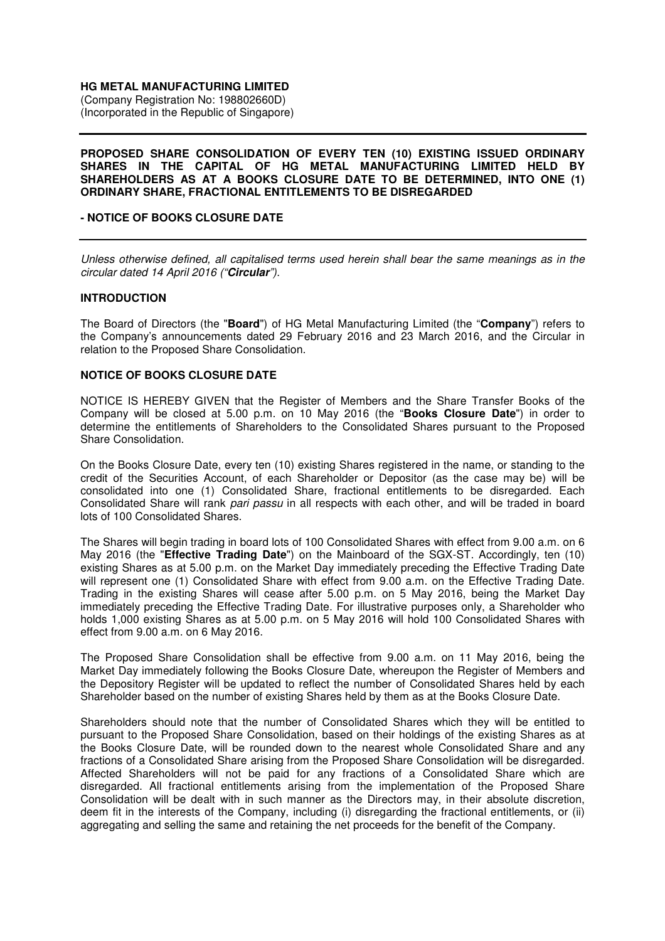## **HG METAL MANUFACTURING LIMITED**

(Company Registration No: 198802660D) (Incorporated in the Republic of Singapore)

### **PROPOSED SHARE CONSOLIDATION OF EVERY TEN (10) EXISTING ISSUED ORDINARY SHARES IN THE CAPITAL OF HG METAL MANUFACTURING LIMITED HELD BY SHAREHOLDERS AS AT A BOOKS CLOSURE DATE TO BE DETERMINED, INTO ONE (1) ORDINARY SHARE, FRACTIONAL ENTITLEMENTS TO BE DISREGARDED**

## **- NOTICE OF BOOKS CLOSURE DATE**

Unless otherwise defined, all capitalised terms used herein shall bear the same meanings as in the circular dated 14 April 2016 ("**Circular**").

### **INTRODUCTION**

The Board of Directors (the "**Board**") of HG Metal Manufacturing Limited (the "**Company**") refers to the Company's announcements dated 29 February 2016 and 23 March 2016, and the Circular in relation to the Proposed Share Consolidation.

### **NOTICE OF BOOKS CLOSURE DATE**

NOTICE IS HEREBY GIVEN that the Register of Members and the Share Transfer Books of the Company will be closed at 5.00 p.m. on 10 May 2016 (the "**Books Closure Date**") in order to determine the entitlements of Shareholders to the Consolidated Shares pursuant to the Proposed Share Consolidation.

On the Books Closure Date, every ten (10) existing Shares registered in the name, or standing to the credit of the Securities Account, of each Shareholder or Depositor (as the case may be) will be consolidated into one (1) Consolidated Share, fractional entitlements to be disregarded. Each Consolidated Share will rank pari passu in all respects with each other, and will be traded in board lots of 100 Consolidated Shares.

The Shares will begin trading in board lots of 100 Consolidated Shares with effect from 9.00 a.m. on 6 May 2016 (the "**Effective Trading Date**") on the Mainboard of the SGX-ST. Accordingly, ten (10) existing Shares as at 5.00 p.m. on the Market Day immediately preceding the Effective Trading Date will represent one (1) Consolidated Share with effect from 9.00 a.m. on the Effective Trading Date. Trading in the existing Shares will cease after 5.00 p.m. on 5 May 2016, being the Market Day immediately preceding the Effective Trading Date. For illustrative purposes only, a Shareholder who holds 1,000 existing Shares as at 5.00 p.m. on 5 May 2016 will hold 100 Consolidated Shares with effect from 9.00 a.m. on 6 May 2016.

The Proposed Share Consolidation shall be effective from 9.00 a.m. on 11 May 2016, being the Market Day immediately following the Books Closure Date, whereupon the Register of Members and the Depository Register will be updated to reflect the number of Consolidated Shares held by each Shareholder based on the number of existing Shares held by them as at the Books Closure Date.

Shareholders should note that the number of Consolidated Shares which they will be entitled to pursuant to the Proposed Share Consolidation, based on their holdings of the existing Shares as at the Books Closure Date, will be rounded down to the nearest whole Consolidated Share and any fractions of a Consolidated Share arising from the Proposed Share Consolidation will be disregarded. Affected Shareholders will not be paid for any fractions of a Consolidated Share which are disregarded. All fractional entitlements arising from the implementation of the Proposed Share Consolidation will be dealt with in such manner as the Directors may, in their absolute discretion, deem fit in the interests of the Company, including (i) disregarding the fractional entitlements, or (ii) aggregating and selling the same and retaining the net proceeds for the benefit of the Company.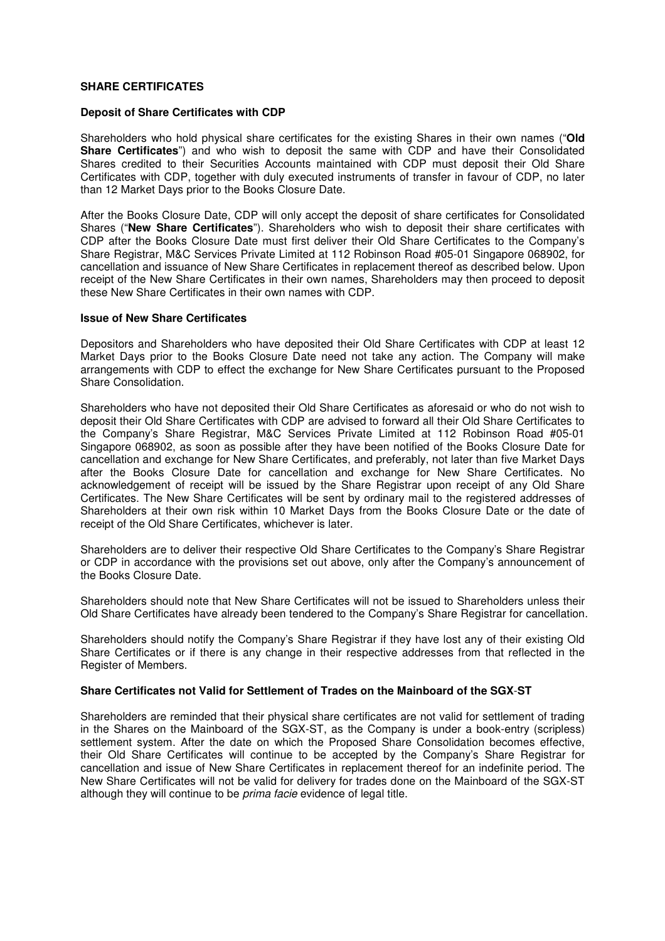## **SHARE CERTIFICATES**

### **Deposit of Share Certificates with CDP**

Shareholders who hold physical share certificates for the existing Shares in their own names ("**Old Share Certificates**") and who wish to deposit the same with CDP and have their Consolidated Shares credited to their Securities Accounts maintained with CDP must deposit their Old Share Certificates with CDP, together with duly executed instruments of transfer in favour of CDP, no later than 12 Market Days prior to the Books Closure Date.

After the Books Closure Date, CDP will only accept the deposit of share certificates for Consolidated Shares ("**New Share Certificates**"). Shareholders who wish to deposit their share certificates with CDP after the Books Closure Date must first deliver their Old Share Certificates to the Company's Share Registrar, M&C Services Private Limited at 112 Robinson Road #05-01 Singapore 068902, for cancellation and issuance of New Share Certificates in replacement thereof as described below. Upon receipt of the New Share Certificates in their own names, Shareholders may then proceed to deposit these New Share Certificates in their own names with CDP.

### **Issue of New Share Certificates**

Depositors and Shareholders who have deposited their Old Share Certificates with CDP at least 12 Market Days prior to the Books Closure Date need not take any action. The Company will make arrangements with CDP to effect the exchange for New Share Certificates pursuant to the Proposed Share Consolidation.

Shareholders who have not deposited their Old Share Certificates as aforesaid or who do not wish to deposit their Old Share Certificates with CDP are advised to forward all their Old Share Certificates to the Company's Share Registrar, M&C Services Private Limited at 112 Robinson Road #05-01 Singapore 068902, as soon as possible after they have been notified of the Books Closure Date for cancellation and exchange for New Share Certificates, and preferably, not later than five Market Days after the Books Closure Date for cancellation and exchange for New Share Certificates. No acknowledgement of receipt will be issued by the Share Registrar upon receipt of any Old Share Certificates. The New Share Certificates will be sent by ordinary mail to the registered addresses of Shareholders at their own risk within 10 Market Days from the Books Closure Date or the date of receipt of the Old Share Certificates, whichever is later.

Shareholders are to deliver their respective Old Share Certificates to the Company's Share Registrar or CDP in accordance with the provisions set out above, only after the Company's announcement of the Books Closure Date.

Shareholders should note that New Share Certificates will not be issued to Shareholders unless their Old Share Certificates have already been tendered to the Company's Share Registrar for cancellation.

Shareholders should notify the Company's Share Registrar if they have lost any of their existing Old Share Certificates or if there is any change in their respective addresses from that reflected in the Register of Members.

# **Share Certificates not Valid for Settlement of Trades on the Mainboard of the SGX**-**ST**

Shareholders are reminded that their physical share certificates are not valid for settlement of trading in the Shares on the Mainboard of the SGX-ST, as the Company is under a book-entry (scripless) settlement system. After the date on which the Proposed Share Consolidation becomes effective, their Old Share Certificates will continue to be accepted by the Company's Share Registrar for cancellation and issue of New Share Certificates in replacement thereof for an indefinite period. The New Share Certificates will not be valid for delivery for trades done on the Mainboard of the SGX-ST although they will continue to be prima facie evidence of legal title.